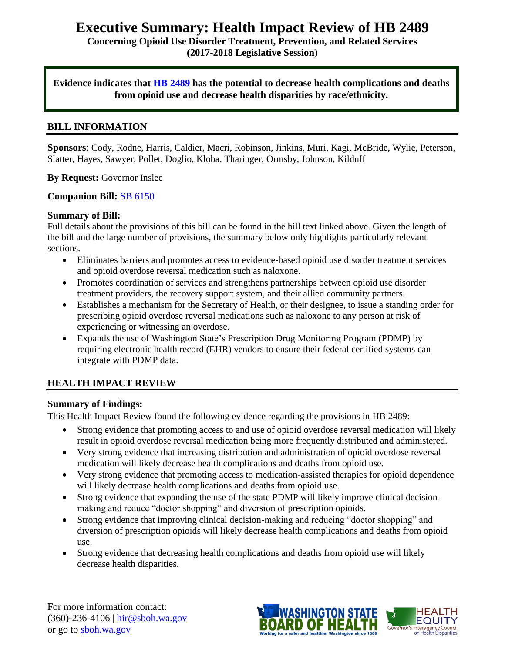## **Executive Summary: Health Impact Review of HB 2489**

**Concerning Opioid Use Disorder Treatment, Prevention, and Related Services (2017-2018 Legislative Session)**

**Evidence indicates that [HB 2489](http://lawfilesext.leg.wa.gov/biennium/2017-18/Pdf/Bills/House%20Bills/2489.pdf) has the potential to decrease health complications and deaths from opioid use and decrease health disparities by race/ethnicity.** 

#### **BILL INFORMATION**

**Sponsors**: Cody, Rodne, Harris, Caldier, Macri, Robinson, Jinkins, Muri, Kagi, McBride, Wylie, Peterson, Slatter, Hayes, Sawyer, Pollet, Doglio, Kloba, Tharinger, Ormsby, Johnson, Kilduff

**By Request:** Governor Inslee

#### **Companion Bill:** [SB 6150](http://app.leg.wa.gov/billsummary?BillNumber=6150&Chamber=Senate&Year=2017)

#### **Summary of Bill:**

Full details about the provisions of this bill can be found in the bill text linked above. Given the length of the bill and the large number of provisions, the summary below only highlights particularly relevant sections.

- Eliminates barriers and promotes access to evidence-based opioid use disorder treatment services and opioid overdose reversal medication such as naloxone.
- Promotes coordination of services and strengthens partnerships between opioid use disorder treatment providers, the recovery support system, and their allied community partners.
- Establishes a mechanism for the Secretary of Health, or their designee, to issue a standing order for prescribing opioid overdose reversal medications such as naloxone to any person at risk of experiencing or witnessing an overdose.
- Expands the use of Washington State's Prescription Drug Monitoring Program (PDMP) by requiring electronic health record (EHR) vendors to ensure their federal certified systems can integrate with PDMP data.

#### **HEALTH IMPACT REVIEW**

#### **Summary of Findings:**

This Health Impact Review found the following evidence regarding the provisions in HB 2489:

- Strong evidence that promoting access to and use of opioid overdose reversal medication will likely result in opioid overdose reversal medication being more frequently distributed and administered.
- Very strong evidence that increasing distribution and administration of opioid overdose reversal medication will likely decrease health complications and deaths from opioid use.
- Very strong evidence that promoting access to medication-assisted therapies for opioid dependence will likely decrease health complications and deaths from opioid use.
- Strong evidence that expanding the use of the state PDMP will likely improve clinical decisionmaking and reduce "doctor shopping" and diversion of prescription opioids.
- Strong evidence that improving clinical decision-making and reducing "doctor shopping" and diversion of prescription opioids will likely decrease health complications and deaths from opioid use.
- Strong evidence that decreasing health complications and deaths from opioid use will likely decrease health disparities.

For more information contact: (360)-236-4106 | [hir@sboh.wa.gov](mailto:hir@sboh.wa.gov) or go to [sboh.wa.gov](http://sboh.wa.gov/)

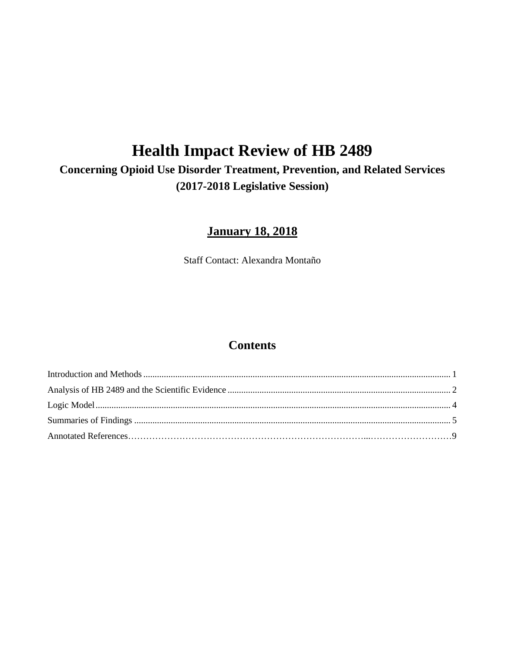# **Health Impact Review of HB 2489**

## **Concerning Opioid Use Disorder Treatment, Prevention, and Related Services (2017-2018 Legislative Session)**

## **January 18, 2018**

Staff Contact: Alexandra Montaño

## **Contents**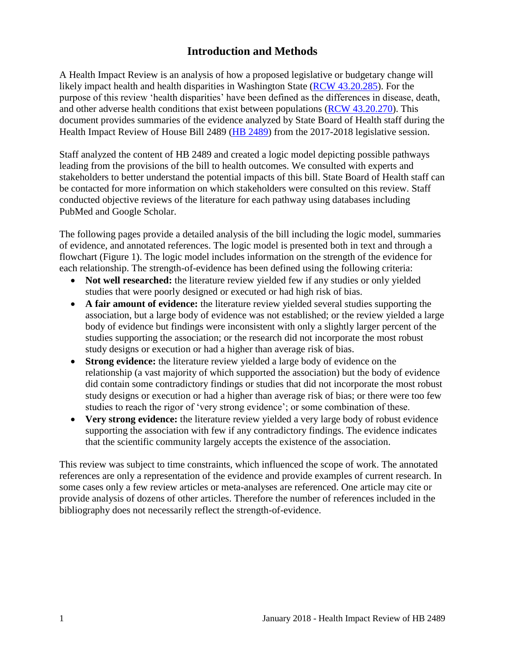## **Introduction and Methods**

<span id="page-2-0"></span>A Health Impact Review is an analysis of how a proposed legislative or budgetary change will likely impact health and health disparities in Washington State [\(RCW 43.20.285\)](http://apps.leg.wa.gov/rcw/default.aspx?cite=43.20.285). For the purpose of this review 'health disparities' have been defined as the differences in disease, death, and other adverse health conditions that exist between populations [\(RCW 43.20.270\)](http://apps.leg.wa.gov/rcw/default.aspx?cite=43.20.270). This document provides summaries of the evidence analyzed by State Board of Health staff during the Health Impact Review of House Bill 2489 [\(HB 2489\)](http://lawfilesext.leg.wa.gov/biennium/2017-18/Pdf/Bills/House%20Bills/2489.pdf) from the 2017-2018 legislative session.

Staff analyzed the content of HB 2489 and created a logic model depicting possible pathways leading from the provisions of the bill to health outcomes. We consulted with experts and stakeholders to better understand the potential impacts of this bill. State Board of Health staff can be contacted for more information on which stakeholders were consulted on this review. Staff conducted objective reviews of the literature for each pathway using databases including PubMed and Google Scholar.

The following pages provide a detailed analysis of the bill including the logic model, summaries of evidence, and annotated references. The logic model is presented both in text and through a flowchart (Figure 1). The logic model includes information on the strength of the evidence for each relationship. The strength-of-evidence has been defined using the following criteria:

- Not well researched: the literature review yielded few if any studies or only yielded studies that were poorly designed or executed or had high risk of bias.
- **A fair amount of evidence:** the literature review yielded several studies supporting the association, but a large body of evidence was not established; or the review yielded a large body of evidence but findings were inconsistent with only a slightly larger percent of the studies supporting the association; or the research did not incorporate the most robust study designs or execution or had a higher than average risk of bias.
- **Strong evidence:** the literature review yielded a large body of evidence on the relationship (a vast majority of which supported the association) but the body of evidence did contain some contradictory findings or studies that did not incorporate the most robust study designs or execution or had a higher than average risk of bias; or there were too few studies to reach the rigor of 'very strong evidence'; or some combination of these.
- **Very strong evidence:** the literature review yielded a very large body of robust evidence supporting the association with few if any contradictory findings. The evidence indicates that the scientific community largely accepts the existence of the association.

This review was subject to time constraints, which influenced the scope of work. The annotated references are only a representation of the evidence and provide examples of current research. In some cases only a few review articles or meta-analyses are referenced. One article may cite or provide analysis of dozens of other articles. Therefore the number of references included in the bibliography does not necessarily reflect the strength-of-evidence.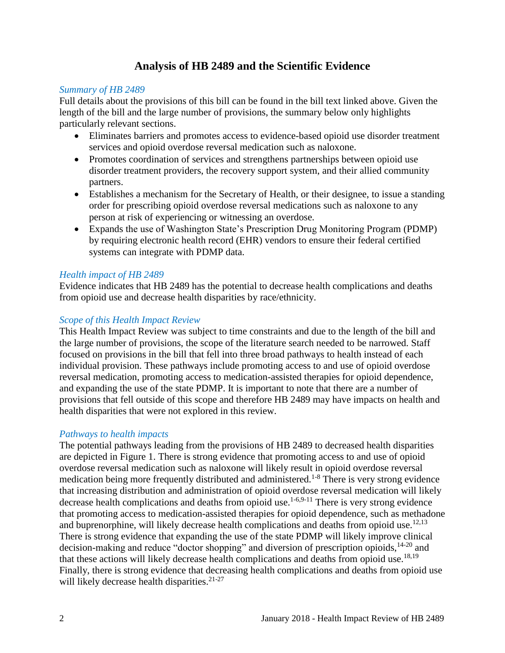## **Analysis of HB 2489 and the Scientific Evidence**

#### <span id="page-3-0"></span>*Summary of HB 2489*

Full details about the provisions of this bill can be found in the bill text linked above. Given the length of the bill and the large number of provisions, the summary below only highlights particularly relevant sections.

- Eliminates barriers and promotes access to evidence-based opioid use disorder treatment services and opioid overdose reversal medication such as naloxone.
- Promotes coordination of services and strengthens partnerships between opioid use disorder treatment providers, the recovery support system, and their allied community partners.
- Establishes a mechanism for the Secretary of Health, or their designee, to issue a standing order for prescribing opioid overdose reversal medications such as naloxone to any person at risk of experiencing or witnessing an overdose.
- Expands the use of Washington State's Prescription Drug Monitoring Program (PDMP) by requiring electronic health record (EHR) vendors to ensure their federal certified systems can integrate with PDMP data.

#### *Health impact of HB 2489*

Evidence indicates that HB 2489 has the potential to decrease health complications and deaths from opioid use and decrease health disparities by race/ethnicity.

#### *Scope of this Health Impact Review*

This Health Impact Review was subject to time constraints and due to the length of the bill and the large number of provisions, the scope of the literature search needed to be narrowed. Staff focused on provisions in the bill that fell into three broad pathways to health instead of each individual provision. These pathways include promoting access to and use of opioid overdose reversal medication, promoting access to medication-assisted therapies for opioid dependence, and expanding the use of the state PDMP. It is important to note that there are a number of provisions that fell outside of this scope and therefore HB 2489 may have impacts on health and health disparities that were not explored in this review.

#### *Pathways to health impacts*

The potential pathways leading from the provisions of HB 2489 to decreased health disparities are depicted in Figure 1. There is strong evidence that promoting access to and use of opioid overdose reversal medication such as naloxone will likely result in opioid overdose reversal medication being more frequently distributed and administered.<sup>1-8</sup> There is very strong evidence that increasing distribution and administration of opioid overdose reversal medication will likely decrease health complications and deaths from opioid use.<sup>[1-6,](#page-10-0)[9-11](#page-13-0)</sup> There is very strong evidence that promoting access to medication-assisted therapies for opioid dependence, such as methadone and buprenorphine, will likely decrease health complications and deaths from opioid use.<sup>[12](#page-14-0)[,13](#page-14-1)</sup> There is strong evidence that expanding the use of the state PDMP will likely improve clinical decision-making and reduce "doctor shopping" and diversion of prescription opioids, <sup>14-20</sup> and that these actions will likely decrease health complications and deaths from opioid use.<sup>[18,](#page-16-0)[19](#page-17-0)</sup> Finally, there is strong evidence that decreasing health complications and deaths from opioid use will likely decrease health disparities.<sup>21-27</sup>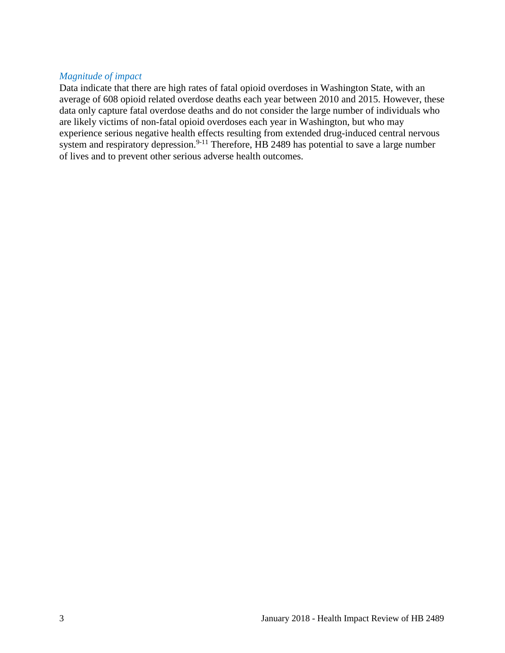#### *Magnitude of impact*

Data indicate that there are high rates of fatal opioid overdoses in Washington State, with an average of 608 opioid related overdose deaths each year between 2010 and 2015. However, these data only capture fatal overdose deaths and do not consider the large number of individuals who are likely victims of non-fatal opioid overdoses each year in Washington, but who may experience serious negative health effects resulting from extended drug-induced central nervous system and respiratory depression.<sup>9-11</sup> Therefore, HB 2489 has potential to save a large number of lives and to prevent other serious adverse health outcomes.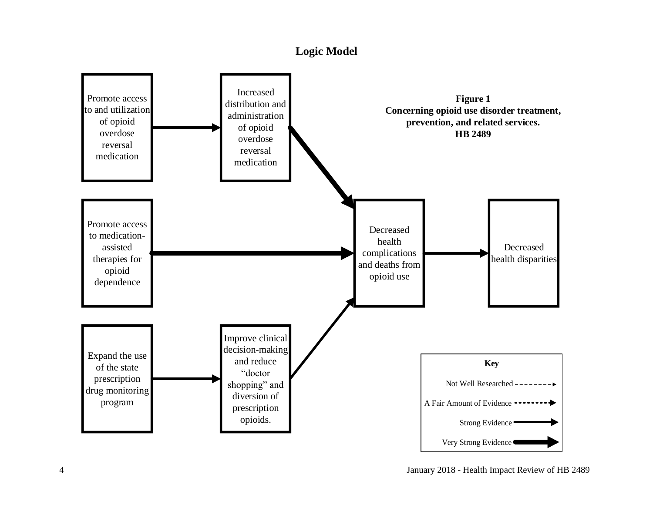## **Logic Model**

<span id="page-5-0"></span>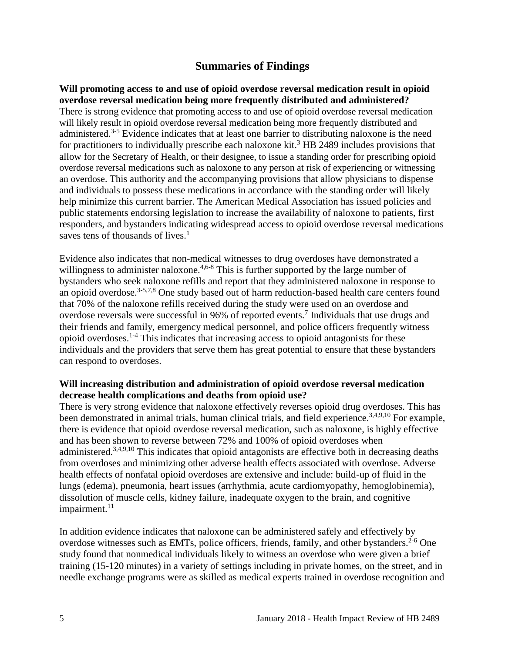### **Summaries of Findings**

<span id="page-6-0"></span>**Will promoting access to and use of opioid overdose reversal medication result in opioid overdose reversal medication being more frequently distributed and administered?** There is strong evidence that promoting access to and use of opioid overdose reversal medication will likely result in opioid overdose reversal medication being more frequently distributed and administered.<sup>3-5</sup> Evidence indicates that at least one barrier to distributing naloxone is the need for practitioners to individually prescribe each naloxone kit.<sup>3</sup> HB 2489 includes provisions that allow for the Secretary of Health, or their designee, to issue a standing order for prescribing opioid overdose reversal medications such as naloxone to any person at risk of experiencing or witnessing an overdose. This authority and the accompanying provisions that allow physicians to dispense and individuals to possess these medications in accordance with the standing order will likely help minimize this current barrier. The American Medical Association has issued policies and public statements endorsing legislation to increase the availability of naloxone to patients, first responders, and bystanders indicating widespread access to opioid overdose reversal medications saves tens of thousands of lives.<sup>1</sup>

Evidence also indicates that non-medical witnesses to drug overdoses have demonstrated a willingness to administer naloxone.<sup>[4,](#page-11-0)[6-8](#page-11-1)</sup> This is further supported by the large number of bystanders who seek naloxone refills and report that they administered naloxone in response to an opioid overdose.<sup>[3-5](#page-10-1)[,7](#page-12-0)[,8](#page-12-1)</sup> One study based out of harm reduction-based health care centers found that 70% of the naloxone refills received during the study were used on an overdose and overdose reversals were successful in 96% of reported events.<sup>7</sup> Individuals that use drugs and their friends and family, emergency medical personnel, and police officers frequently witness opioid overdoses.1-4 This indicates that increasing access to opioid antagonists for these individuals and the providers that serve them has great potential to ensure that these bystanders can respond to overdoses.

#### **Will increasing distribution and administration of opioid overdose reversal medication decrease health complications and deaths from opioid use?**

There is very strong evidence that naloxone effectively reverses opioid drug overdoses. This has been demonstrated in animal trials, human clinical trials, and field experience.<sup>[3,](#page-10-1)[4,](#page-11-0)[9,](#page-13-0)[10](#page-13-1)</sup> For example, there is evidence that opioid overdose reversal medication, such as naloxone, is highly effective and has been shown to reverse between 72% and 100% of opioid overdoses when administered.<sup>[3](#page-10-1)[,4](#page-11-0)[,9](#page-13-0)[,10](#page-13-1)</sup> This indicates that opioid antagonists are effective both in decreasing deaths from overdoses and minimizing other adverse health effects associated with overdose. Adverse health effects of nonfatal opioid overdoses are extensive and include: build-up of fluid in the lungs (edema), pneumonia, heart issues (arrhythmia, acute cardiomyopathy, hemoglobinemia), dissolution of muscle cells, kidney failure, inadequate oxygen to the brain, and cognitive impairment. $11$ 

In addition evidence indicates that naloxone can be administered safely and effectively by overdose witnesses such as EMTs, police officers, friends, family, and other bystanders.<sup>2-6</sup> One study found that nonmedical individuals likely to witness an overdose who were given a brief training (15-120 minutes) in a variety of settings including in private homes, on the street, and in needle exchange programs were as skilled as medical experts trained in overdose recognition and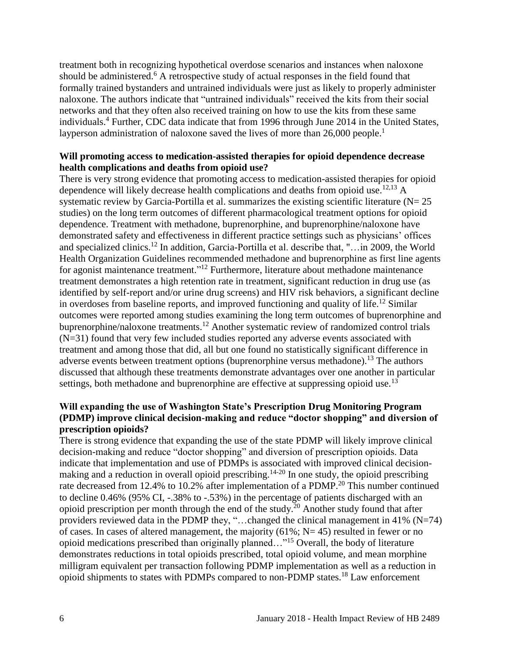treatment both in recognizing hypothetical overdose scenarios and instances when naloxone should be administered.<sup>6</sup> A retrospective study of actual responses in the field found that formally trained bystanders and untrained individuals were just as likely to properly administer naloxone. The authors indicate that "untrained individuals" received the kits from their social networks and that they often also received training on how to use the kits from these same individuals.<sup>4</sup> Further, CDC data indicate that from 1996 through June 2014 in the United States, layperson administration of naloxone saved the lives of more than 26,000 people.<sup>1</sup>

#### **Will promoting access to medication-assisted therapies for opioid dependence decrease health complications and deaths from opioid use?**

There is very strong evidence that promoting access to medication-assisted therapies for opioid dependence will likely decrease health complications and deaths from opioid use.<sup>[12,](#page-14-0)[13](#page-14-1)</sup> A systematic review by Garcia-Portilla et al. summarizes the existing scientific literature  $(N= 25)$ studies) on the long term outcomes of different pharmacological treatment options for opioid dependence. Treatment with methadone, buprenorphine, and buprenorphine/naloxone have demonstrated safety and effectiveness in different practice settings such as physicians' offices and specialized clinics.<sup>12</sup> In addition, Garcia-Portilla et al. describe that, "... in 2009, the World Health Organization Guidelines recommended methadone and buprenorphine as first line agents for agonist maintenance treatment."<sup>12</sup> Furthermore, literature about methadone maintenance treatment demonstrates a high retention rate in treatment, significant reduction in drug use (as identified by self-report and/or urine drug screens) and HIV risk behaviors, a significant decline in overdoses from baseline reports, and improved functioning and quality of life. <sup>12</sup> Similar outcomes were reported among studies examining the long term outcomes of buprenorphine and buprenorphine/naloxone treatments.<sup>12</sup> Another systematic review of randomized control trials (N=31) found that very few included studies reported any adverse events associated with treatment and among those that did, all but one found no statistically significant difference in adverse events between treatment options (buprenorphine versus methadone).<sup>13</sup> The authors discussed that although these treatments demonstrate advantages over one another in particular settings, both methadone and buprenorphine are effective at suppressing opioid use.<sup>13</sup>

#### **Will expanding the use of Washington State's Prescription Drug Monitoring Program (PDMP) improve clinical decision-making and reduce "doctor shopping" and diversion of prescription opioids?**

There is strong evidence that expanding the use of the state PDMP will likely improve clinical decision-making and reduce "doctor shopping" and diversion of prescription opioids. Data indicate that implementation and use of PDMPs is associated with improved clinical decisionmaking and a reduction in overall opioid prescribing.<sup>14-20</sup> In one study, the opioid prescribing rate decreased from 12.4% to 10.2% after implementation of a PDMP.<sup>20</sup> This number continued to decline 0.46% (95% CI, -.38% to -.53%) in the percentage of patients discharged with an opioid prescription per month through the end of the study.<sup>20</sup> Another study found that after providers reviewed data in the PDMP they, "…changed the clinical management in 41% (N=74) of cases. In cases of altered management, the majority  $(61\%; N=45)$  resulted in fewer or no opioid medications prescribed than originally planned…"<sup>15</sup> Overall, the body of literature demonstrates reductions in total opioids prescribed, total opioid volume, and mean morphine milligram equivalent per transaction following PDMP implementation as well as a reduction in opioid shipments to states with PDMPs compared to non-PDMP states.<sup>18</sup> Law enforcement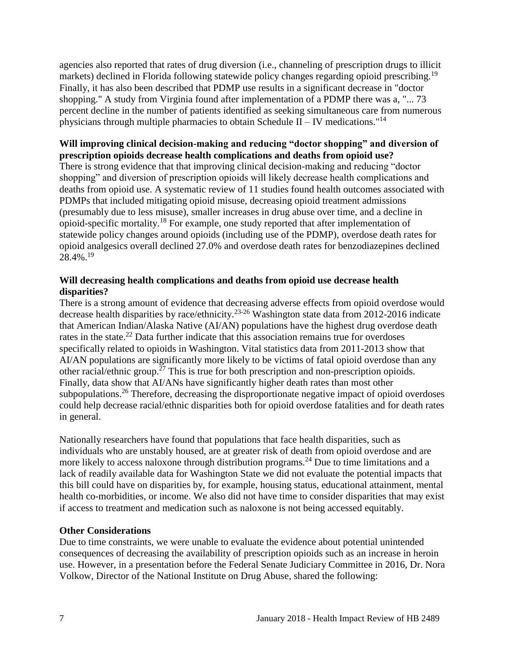agencies also reported that rates of drug diversion (i.e., channeling of prescription drugs to illicit markets) declined in Florida following statewide policy changes regarding opioid prescribing.<sup>19</sup> Finally, it has also been described that PDMP use results in a significant decrease in "doctor shopping." A study from Virginia found after implementation of a PDMP there was a, "... 73 percent decline in the number of patients identified as seeking simultaneous care from numerous physicians through multiple pharmacies to obtain Schedule II – IV medications."<sup>14</sup>

#### **Will improving clinical decision-making and reducing "doctor shopping" and diversion of prescription opioids decrease health complications and deaths from opioid use?**

There is strong evidence that that improving clinical decision-making and reducing "doctor shopping" and diversion of prescription opioids will likely decrease health complications and deaths from opioid use. A systematic review of 11 studies found health outcomes associated with PDMPs that included mitigating opioid misuse, decreasing opioid treatment admissions (presumably due to less misuse), smaller increases in drug abuse over time, and a decline in opioid-specific mortality.<sup>18</sup> For example, one study reported that after implementation of statewide policy changes around opioids (including use of the PDMP), overdose death rates for opioid analgesics overall declined 27.0% and overdose death rates for benzodiazepines declined 28.4%. 19

#### **Will decreasing health complications and deaths from opioid use decrease health disparities?**

There is a strong amount of evidence that decreasing adverse effects from opioid overdose would decrease health disparities by race/ethnicity.23-26 Washington state data from 2012-2016 indicate that American Indian/Alaska Native (AI/AN) populations have the highest drug overdose death rates in the state.<sup>22</sup> Data further indicate that this association remains true for overdoses specifically related to opioids in Washington. Vital statistics data from 2011-2013 show that AI/AN populations are significantly more likely to be victims of fatal opioid overdose than any other racial/ethnic group.<sup>27</sup> This is true for both prescription and non-prescription opioids. Finally, data show that AI/ANs have significantly higher death rates than most other subpopulations.<sup>26</sup> Therefore, decreasing the disproportionate negative impact of opioid overdoses could help decrease racial/ethnic disparities both for opioid overdose fatalities and for death rates in general.

Nationally researchers have found that populations that face health disparities, such as individuals who are unstably housed, are at greater risk of death from opioid overdose and are more likely to access naloxone through distribution programs.<sup>24</sup> Due to time limitations and a lack of readily available data for Washington State we did not evaluate the potential impacts that this bill could have on disparities by, for example, housing status, educational attainment, mental health co-morbidities, or income. We also did not have time to consider disparities that may exist if access to treatment and medication such as naloxone is not being accessed equitably.

#### **Other Considerations**

Due to time constraints, we were unable to evaluate the evidence about potential unintended consequences of decreasing the availability of prescription opioids such as an increase in heroin use. However, in a presentation before the Federal Senate Judiciary Committee in 2016, Dr. Nora Volkow, Director of the National Institute on Drug Abuse, shared the following: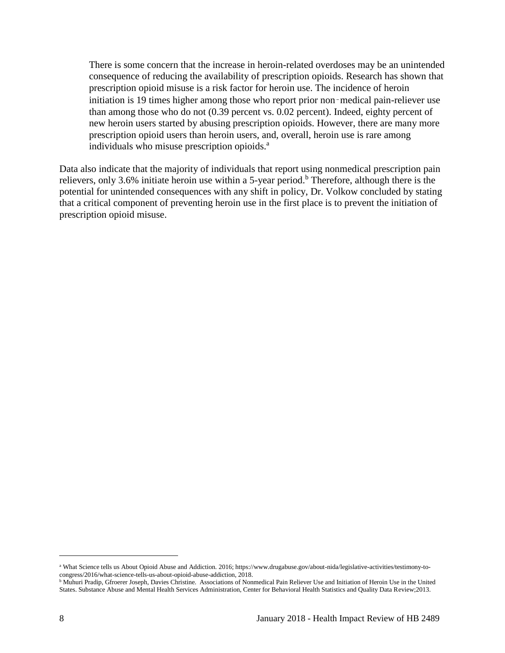There is some concern that the increase in heroin-related overdoses may be an unintended consequence of reducing the availability of prescription opioids. Research has shown that prescription opioid misuse is a risk factor for heroin use. The incidence of heroin initiation is 19 times higher among those who report prior non-medical pain-reliever use than among those who do not (0.39 percent vs. 0.02 percent). Indeed, eighty percent of new heroin users started by abusing prescription opioids. However, there are many more prescription opioid users than heroin users, and, overall, heroin use is rare among individuals who misuse prescription opioids.<sup>a</sup>

Data also indicate that the majority of individuals that report using nonmedical prescription pain relievers, only 3.6% initiate heroin use within a 5-year period.<sup>b</sup> Therefore, although there is the potential for unintended consequences with any shift in policy, Dr. Volkow concluded by stating that a critical component of preventing heroin use in the first place is to prevent the initiation of prescription opioid misuse.

 $\overline{\phantom{a}}$ 

<sup>a</sup> What Science tells us About Opioid Abuse and Addiction. 2016; https://www.drugabuse.gov/about-nida/legislative-activities/testimony-tocongress/2016/what-science-tells-us-about-opioid-abuse-addiction, 2018.

**b Muhuri Pradip, Gfroerer Joseph, Davies Christine.** Associations of Nonmedical Pain Reliever Use and Initiation of Heroin Use in the United States. Substance Abuse and Mental Health Services Administration, Center for Behavioral Health Statistics and Quality Data Review;2013.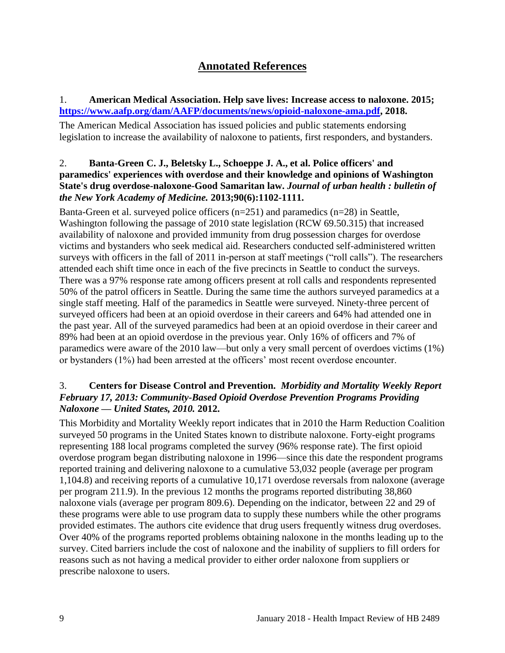## **Annotated References**

#### <span id="page-10-0"></span>1. **American Medical Association. Help save lives: Increase access to naloxone. 2015; [https://www.aafp.org/dam/AAFP/documents/news/opioid-naloxone-ama.pdf,](https://www.aafp.org/dam/AAFP/documents/news/opioid-naloxone-ama.pdf) 2018.**

The American Medical Association has issued policies and public statements endorsing legislation to increase the availability of naloxone to patients, first responders, and bystanders.

#### 2. **Banta-Green C. J., Beletsky L., Schoeppe J. A., et al. Police officers' and paramedics' experiences with overdose and their knowledge and opinions of Washington State's drug overdose-naloxone-Good Samaritan law.** *Journal of urban health : bulletin of the New York Academy of Medicine.* **2013;90(6):1102-1111.**

Banta-Green et al. surveyed police officers (n=251) and paramedics (n=28) in Seattle, Washington following the passage of 2010 state legislation (RCW 69.50.315) that increased availability of naloxone and provided immunity from drug possession charges for overdose victims and bystanders who seek medical aid. Researchers conducted self-administered written surveys with officers in the fall of 2011 in-person at staff meetings ("roll calls"). The researchers attended each shift time once in each of the five precincts in Seattle to conduct the surveys. There was a 97% response rate among officers present at roll calls and respondents represented 50% of the patrol officers in Seattle. During the same time the authors surveyed paramedics at a single staff meeting. Half of the paramedics in Seattle were surveyed. Ninety-three percent of surveyed officers had been at an opioid overdose in their careers and 64% had attended one in the past year. All of the surveyed paramedics had been at an opioid overdose in their career and 89% had been at an opioid overdose in the previous year. Only 16% of officers and 7% of paramedics were aware of the 2010 law—but only a very small percent of overdoes victims (1%) or bystanders (1%) had been arrested at the officers' most recent overdose encounter.

#### <span id="page-10-1"></span>3. **Centers for Disease Control and Prevention.** *Morbidity and Mortality Weekly Report February 17, 2013: Community-Based Opioid Overdose Prevention Programs Providing Naloxone — United States, 2010.* **2012.**

This Morbidity and Mortality Weekly report indicates that in 2010 the Harm Reduction Coalition surveyed 50 programs in the United States known to distribute naloxone. Forty-eight programs representing 188 local programs completed the survey (96% response rate). The first opioid overdose program began distributing naloxone in 1996—since this date the respondent programs reported training and delivering naloxone to a cumulative 53,032 people (average per program 1,104.8) and receiving reports of a cumulative 10,171 overdose reversals from naloxone (average per program 211.9). In the previous 12 months the programs reported distributing 38,860 naloxone vials (average per program 809.6). Depending on the indicator, between 22 and 29 of these programs were able to use program data to supply these numbers while the other programs provided estimates. The authors cite evidence that drug users frequently witness drug overdoses. Over 40% of the programs reported problems obtaining naloxone in the months leading up to the survey. Cited barriers include the cost of naloxone and the inability of suppliers to fill orders for reasons such as not having a medical provider to either order naloxone from suppliers or prescribe naloxone to users.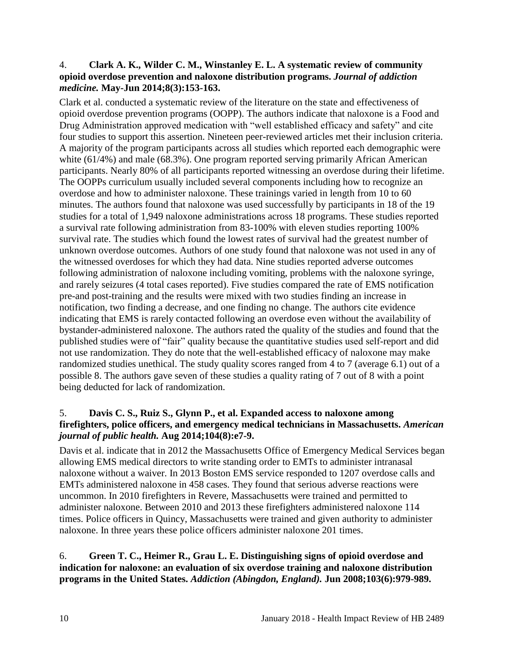#### <span id="page-11-0"></span>4. **Clark A. K., Wilder C. M., Winstanley E. L. A systematic review of community opioid overdose prevention and naloxone distribution programs.** *Journal of addiction medicine.* **May-Jun 2014;8(3):153-163.**

Clark et al. conducted a systematic review of the literature on the state and effectiveness of opioid overdose prevention programs (OOPP). The authors indicate that naloxone is a Food and Drug Administration approved medication with "well established efficacy and safety" and cite four studies to support this assertion. Nineteen peer-reviewed articles met their inclusion criteria. A majority of the program participants across all studies which reported each demographic were white (61/4%) and male (68.3%). One program reported serving primarily African American participants. Nearly 80% of all participants reported witnessing an overdose during their lifetime. The OOPPs curriculum usually included several components including how to recognize an overdose and how to administer naloxone. These trainings varied in length from 10 to 60 minutes. The authors found that naloxone was used successfully by participants in 18 of the 19 studies for a total of 1,949 naloxone administrations across 18 programs. These studies reported a survival rate following administration from 83-100% with eleven studies reporting 100% survival rate. The studies which found the lowest rates of survival had the greatest number of unknown overdose outcomes. Authors of one study found that naloxone was not used in any of the witnessed overdoses for which they had data. Nine studies reported adverse outcomes following administration of naloxone including vomiting, problems with the naloxone syringe, and rarely seizures (4 total cases reported). Five studies compared the rate of EMS notification pre-and post-training and the results were mixed with two studies finding an increase in notification, two finding a decrease, and one finding no change. The authors cite evidence indicating that EMS is rarely contacted following an overdose even without the availability of bystander-administered naloxone. The authors rated the quality of the studies and found that the published studies were of "fair" quality because the quantitative studies used self-report and did not use randomization. They do note that the well-established efficacy of naloxone may make randomized studies unethical. The study quality scores ranged from 4 to 7 (average 6.1) out of a possible 8. The authors gave seven of these studies a quality rating of 7 out of 8 with a point being deducted for lack of randomization.

#### 5. **Davis C. S., Ruiz S., Glynn P., et al. Expanded access to naloxone among firefighters, police officers, and emergency medical technicians in Massachusetts.** *American journal of public health.* **Aug 2014;104(8):e7-9.**

Davis et al. indicate that in 2012 the Massachusetts Office of Emergency Medical Services began allowing EMS medical directors to write standing order to EMTs to administer intranasal naloxone without a waiver. In 2013 Boston EMS service responded to 1207 overdose calls and EMTs administered naloxone in 458 cases. They found that serious adverse reactions were uncommon. In 2010 firefighters in Revere, Massachusetts were trained and permitted to administer naloxone. Between 2010 and 2013 these firefighters administered naloxone 114 times. Police officers in Quincy, Massachusetts were trained and given authority to administer naloxone. In three years these police officers administer naloxone 201 times.

#### <span id="page-11-1"></span>6. **Green T. C., Heimer R., Grau L. E. Distinguishing signs of opioid overdose and indication for naloxone: an evaluation of six overdose training and naloxone distribution programs in the United States.** *Addiction (Abingdon, England).* **Jun 2008;103(6):979-989.**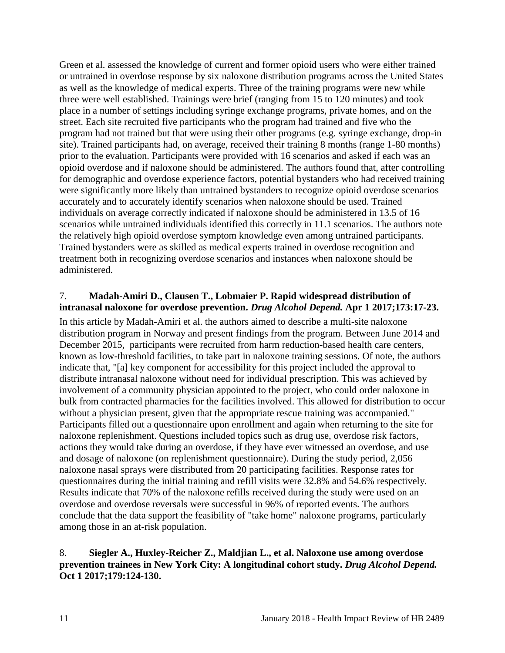Green et al. assessed the knowledge of current and former opioid users who were either trained or untrained in overdose response by six naloxone distribution programs across the United States as well as the knowledge of medical experts. Three of the training programs were new while three were well established. Trainings were brief (ranging from 15 to 120 minutes) and took place in a number of settings including syringe exchange programs, private homes, and on the street. Each site recruited five participants who the program had trained and five who the program had not trained but that were using their other programs (e.g. syringe exchange, drop-in site). Trained participants had, on average, received their training 8 months (range 1-80 months) prior to the evaluation. Participants were provided with 16 scenarios and asked if each was an opioid overdose and if naloxone should be administered. The authors found that, after controlling for demographic and overdose experience factors, potential bystanders who had received training were significantly more likely than untrained bystanders to recognize opioid overdose scenarios accurately and to accurately identify scenarios when naloxone should be used. Trained individuals on average correctly indicated if naloxone should be administered in 13.5 of 16 scenarios while untrained individuals identified this correctly in 11.1 scenarios. The authors note the relatively high opioid overdose symptom knowledge even among untrained participants. Trained bystanders were as skilled as medical experts trained in overdose recognition and treatment both in recognizing overdose scenarios and instances when naloxone should be administered.

#### <span id="page-12-0"></span>7. **Madah-Amiri D., Clausen T., Lobmaier P. Rapid widespread distribution of intranasal naloxone for overdose prevention.** *Drug Alcohol Depend.* **Apr 1 2017;173:17-23.**

In this article by Madah-Amiri et al. the authors aimed to describe a multi-site naloxone distribution program in Norway and present findings from the program. Between June 2014 and December 2015, participants were recruited from harm reduction-based health care centers, known as low-threshold facilities, to take part in naloxone training sessions. Of note, the authors indicate that, "[a] key component for accessibility for this project included the approval to distribute intranasal naloxone without need for individual prescription. This was achieved by involvement of a community physician appointed to the project, who could order naloxone in bulk from contracted pharmacies for the facilities involved. This allowed for distribution to occur without a physician present, given that the appropriate rescue training was accompanied." Participants filled out a questionnaire upon enrollment and again when returning to the site for naloxone replenishment. Questions included topics such as drug use, overdose risk factors, actions they would take during an overdose, if they have ever witnessed an overdose, and use and dosage of naloxone (on replenishment questionnaire). During the study period, 2,056 naloxone nasal sprays were distributed from 20 participating facilities. Response rates for questionnaires during the initial training and refill visits were 32.8% and 54.6% respectively. Results indicate that 70% of the naloxone refills received during the study were used on an overdose and overdose reversals were successful in 96% of reported events. The authors conclude that the data support the feasibility of "take home" naloxone programs, particularly among those in an at-risk population.

#### <span id="page-12-1"></span>8. **Siegler A., Huxley-Reicher Z., Maldjian L., et al. Naloxone use among overdose prevention trainees in New York City: A longitudinal cohort study.** *Drug Alcohol Depend.*  **Oct 1 2017;179:124-130.**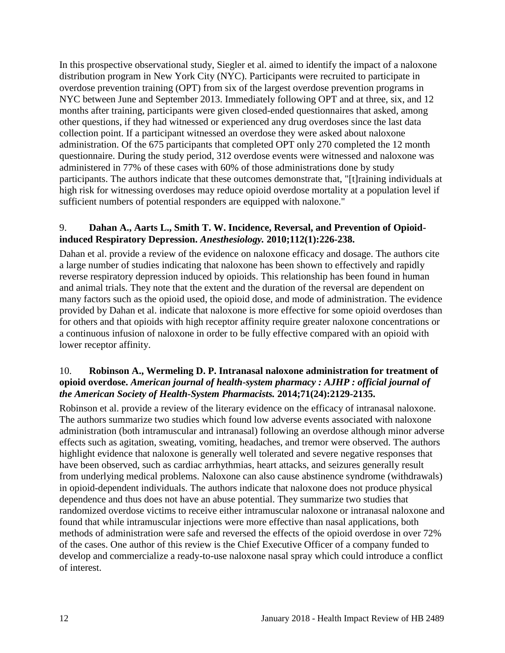In this prospective observational study, Siegler et al. aimed to identify the impact of a naloxone distribution program in New York City (NYC). Participants were recruited to participate in overdose prevention training (OPT) from six of the largest overdose prevention programs in NYC between June and September 2013. Immediately following OPT and at three, six, and 12 months after training, participants were given closed-ended questionnaires that asked, among other questions, if they had witnessed or experienced any drug overdoses since the last data collection point. If a participant witnessed an overdose they were asked about naloxone administration. Of the 675 participants that completed OPT only 270 completed the 12 month questionnaire. During the study period, 312 overdose events were witnessed and naloxone was administered in 77% of these cases with 60% of those administrations done by study participants. The authors indicate that these outcomes demonstrate that, "[t]raining individuals at high risk for witnessing overdoses may reduce opioid overdose mortality at a population level if sufficient numbers of potential responders are equipped with naloxone."

#### <span id="page-13-0"></span>9. **Dahan A., Aarts L., Smith T. W. Incidence, Reversal, and Prevention of Opioidinduced Respiratory Depression.** *Anesthesiology.* **2010;112(1):226-238.**

Dahan et al. provide a review of the evidence on naloxone efficacy and dosage. The authors cite a large number of studies indicating that naloxone has been shown to effectively and rapidly reverse respiratory depression induced by opioids. This relationship has been found in human and animal trials. They note that the extent and the duration of the reversal are dependent on many factors such as the opioid used, the opioid dose, and mode of administration. The evidence provided by Dahan et al. indicate that naloxone is more effective for some opioid overdoses than for others and that opioids with high receptor affinity require greater naloxone concentrations or a continuous infusion of naloxone in order to be fully effective compared with an opioid with lower receptor affinity.

#### <span id="page-13-1"></span>10. **Robinson A., Wermeling D. P. Intranasal naloxone administration for treatment of opioid overdose.** *American journal of health-system pharmacy : AJHP : official journal of the American Society of Health-System Pharmacists.* **2014;71(24):2129-2135.**

Robinson et al. provide a review of the literary evidence on the efficacy of intranasal naloxone. The authors summarize two studies which found low adverse events associated with naloxone administration (both intramuscular and intranasal) following an overdose although minor adverse effects such as agitation, sweating, vomiting, headaches, and tremor were observed. The authors highlight evidence that naloxone is generally well tolerated and severe negative responses that have been observed, such as cardiac arrhythmias, heart attacks, and seizures generally result from underlying medical problems. Naloxone can also cause abstinence syndrome (withdrawals) in opioid-dependent individuals. The authors indicate that naloxone does not produce physical dependence and thus does not have an abuse potential. They summarize two studies that randomized overdose victims to receive either intramuscular naloxone or intranasal naloxone and found that while intramuscular injections were more effective than nasal applications, both methods of administration were safe and reversed the effects of the opioid overdose in over 72% of the cases. One author of this review is the Chief Executive Officer of a company funded to develop and commercialize a ready-to-use naloxone nasal spray which could introduce a conflict of interest.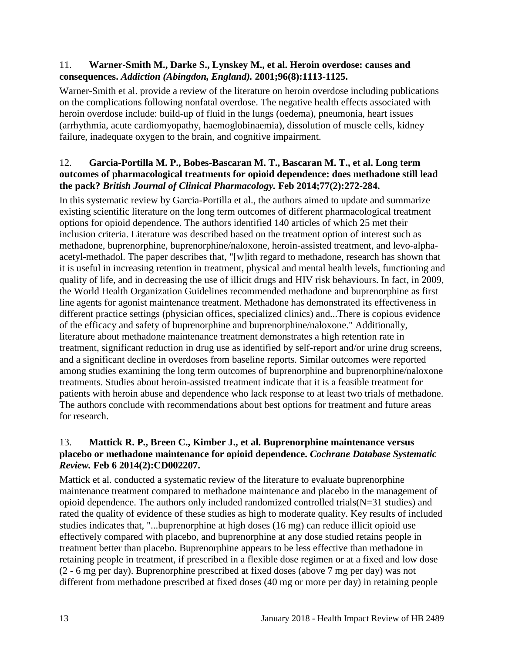#### 11. **Warner-Smith M., Darke S., Lynskey M., et al. Heroin overdose: causes and consequences.** *Addiction (Abingdon, England).* **2001;96(8):1113-1125.**

Warner-Smith et al. provide a review of the literature on heroin overdose including publications on the complications following nonfatal overdose. The negative health effects associated with heroin overdose include: build-up of fluid in the lungs (oedema), pneumonia, heart issues (arrhythmia, acute cardiomyopathy, haemoglobinaemia), dissolution of muscle cells, kidney failure, inadequate oxygen to the brain, and cognitive impairment.

#### <span id="page-14-0"></span>12. **Garcia-Portilla M. P., Bobes-Bascaran M. T., Bascaran M. T., et al. Long term outcomes of pharmacological treatments for opioid dependence: does methadone still lead the pack?** *British Journal of Clinical Pharmacology.* **Feb 2014;77(2):272-284.**

In this systematic review by Garcia-Portilla et al., the authors aimed to update and summarize existing scientific literature on the long term outcomes of different pharmacological treatment options for opioid dependence. The authors identified 140 articles of which 25 met their inclusion criteria. Literature was described based on the treatment option of interest such as methadone, buprenorphine, buprenorphine/naloxone, heroin-assisted treatment, and levo-alphaacetyl-methadol. The paper describes that, "[w]ith regard to methadone, research has shown that it is useful in increasing retention in treatment, physical and mental health levels, functioning and quality of life, and in decreasing the use of illicit drugs and HIV risk behaviours. In fact, in 2009, the World Health Organization Guidelines recommended methadone and buprenorphine as first line agents for agonist maintenance treatment. Methadone has demonstrated its effectiveness in different practice settings (physician offices, specialized clinics) and...There is copious evidence of the efficacy and safety of buprenorphine and buprenorphine/naloxone." Additionally, literature about methadone maintenance treatment demonstrates a high retention rate in treatment, significant reduction in drug use as identified by self-report and/or urine drug screens, and a significant decline in overdoses from baseline reports. Similar outcomes were reported among studies examining the long term outcomes of buprenorphine and buprenorphine/naloxone treatments. Studies about heroin-assisted treatment indicate that it is a feasible treatment for patients with heroin abuse and dependence who lack response to at least two trials of methadone. The authors conclude with recommendations about best options for treatment and future areas for research.

#### <span id="page-14-1"></span>13. **Mattick R. P., Breen C., Kimber J., et al. Buprenorphine maintenance versus placebo or methadone maintenance for opioid dependence.** *Cochrane Database Systematic Review.* **Feb 6 2014(2):CD002207.**

Mattick et al. conducted a systematic review of the literature to evaluate buprenorphine maintenance treatment compared to methadone maintenance and placebo in the management of opioid dependence. The authors only included randomized controlled trials  $(N=31)$  studies) and rated the quality of evidence of these studies as high to moderate quality. Key results of included studies indicates that, "...buprenorphine at high doses (16 mg) can reduce illicit opioid use effectively compared with placebo, and buprenorphine at any dose studied retains people in treatment better than placebo. Buprenorphine appears to be less effective than methadone in retaining people in treatment, if prescribed in a flexible dose regimen or at a fixed and low dose (2 - 6 mg per day). Buprenorphine prescribed at fixed doses (above 7 mg per day) was not different from methadone prescribed at fixed doses (40 mg or more per day) in retaining people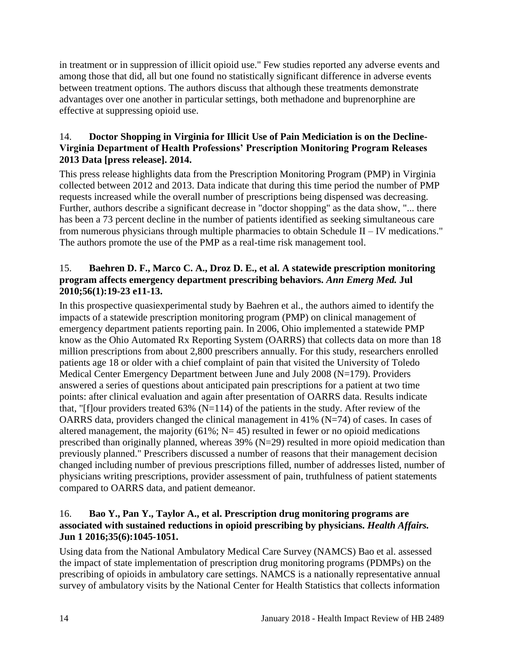in treatment or in suppression of illicit opioid use." Few studies reported any adverse events and among those that did, all but one found no statistically significant difference in adverse events between treatment options. The authors discuss that although these treatments demonstrate advantages over one another in particular settings, both methadone and buprenorphine are effective at suppressing opioid use.

#### 14. **Doctor Shopping in Virginia for Illicit Use of Pain Mediciation is on the Decline-Virginia Department of Health Professions' Prescription Monitoring Program Releases 2013 Data [press release]. 2014.**

This press release highlights data from the Prescription Monitoring Program (PMP) in Virginia collected between 2012 and 2013. Data indicate that during this time period the number of PMP requests increased while the overall number of prescriptions being dispensed was decreasing. Further, authors describe a significant decrease in "doctor shopping" as the data show, "... there has been a 73 percent decline in the number of patients identified as seeking simultaneous care from numerous physicians through multiple pharmacies to obtain Schedule II – IV medications." The authors promote the use of the PMP as a real-time risk management tool.

#### 15. **Baehren D. F., Marco C. A., Droz D. E., et al. A statewide prescription monitoring program affects emergency department prescribing behaviors.** *Ann Emerg Med.* **Jul 2010;56(1):19-23 e11-13.**

In this prospective quasiexperimental study by Baehren et al., the authors aimed to identify the impacts of a statewide prescription monitoring program (PMP) on clinical management of emergency department patients reporting pain. In 2006, Ohio implemented a statewide PMP know as the Ohio Automated Rx Reporting System (OARRS) that collects data on more than 18 million prescriptions from about 2,800 prescribers annually. For this study, researchers enrolled patients age 18 or older with a chief complaint of pain that visited the University of Toledo Medical Center Emergency Department between June and July 2008 (N=179). Providers answered a series of questions about anticipated pain prescriptions for a patient at two time points: after clinical evaluation and again after presentation of OARRS data. Results indicate that, "[f]our providers treated  $63\%$  (N=114) of the patients in the study. After review of the OARRS data, providers changed the clinical management in 41% ( $N=74$ ) of cases. In cases of altered management, the majority  $(61\%; N=45)$  resulted in fewer or no opioid medications prescribed than originally planned, whereas  $39\%$  (N=29) resulted in more opioid medication than previously planned." Prescribers discussed a number of reasons that their management decision changed including number of previous prescriptions filled, number of addresses listed, number of physicians writing prescriptions, provider assessment of pain, truthfulness of patient statements compared to OARRS data, and patient demeanor.

#### 16. **Bao Y., Pan Y., Taylor A., et al. Prescription drug monitoring programs are associated with sustained reductions in opioid prescribing by physicians.** *Health Affairs.*  **Jun 1 2016;35(6):1045-1051.**

Using data from the National Ambulatory Medical Care Survey (NAMCS) Bao et al. assessed the impact of state implementation of prescription drug monitoring programs (PDMPs) on the prescribing of opioids in ambulatory care settings. NAMCS is a nationally representative annual survey of ambulatory visits by the National Center for Health Statistics that collects information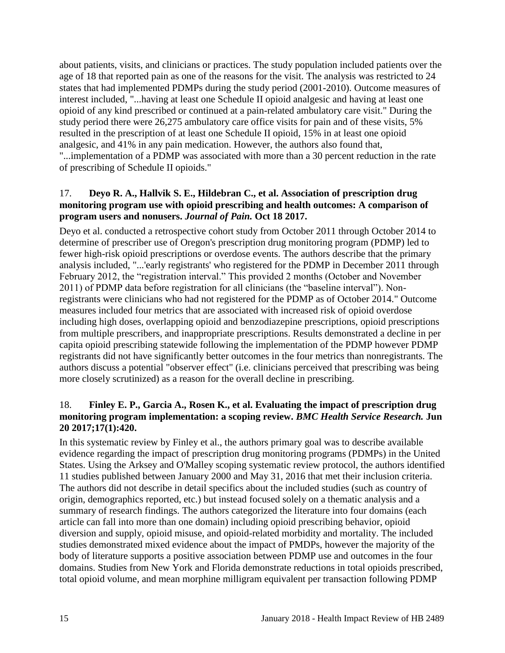about patients, visits, and clinicians or practices. The study population included patients over the age of 18 that reported pain as one of the reasons for the visit. The analysis was restricted to 24 states that had implemented PDMPs during the study period (2001-2010). Outcome measures of interest included, "...having at least one Schedule II opioid analgesic and having at least one opioid of any kind prescribed or continued at a pain-related ambulatory care visit." During the study period there were 26,275 ambulatory care office visits for pain and of these visits, 5% resulted in the prescription of at least one Schedule II opioid, 15% in at least one opioid analgesic, and 41% in any pain medication. However, the authors also found that, "...implementation of a PDMP was associated with more than a 30 percent reduction in the rate of prescribing of Schedule II opioids."

#### 17. **Deyo R. A., Hallvik S. E., Hildebran C., et al. Association of prescription drug monitoring program use with opioid prescribing and health outcomes: A comparison of program users and nonusers.** *Journal of Pain.* **Oct 18 2017.**

Deyo et al. conducted a retrospective cohort study from October 2011 through October 2014 to determine of prescriber use of Oregon's prescription drug monitoring program (PDMP) led to fewer high-risk opioid prescriptions or overdose events. The authors describe that the primary analysis included, "...'early registrants' who registered for the PDMP in December 2011 through February 2012, the "registration interval." This provided 2 months (October and November 2011) of PDMP data before registration for all clinicians (the "baseline interval"). Nonregistrants were clinicians who had not registered for the PDMP as of October 2014." Outcome measures included four metrics that are associated with increased risk of opioid overdose including high doses, overlapping opioid and benzodiazepine prescriptions, opioid prescriptions from multiple prescribers, and inappropriate prescriptions. Results demonstrated a decline in per capita opioid prescribing statewide following the implementation of the PDMP however PDMP registrants did not have significantly better outcomes in the four metrics than nonregistrants. The authors discuss a potential "observer effect" (i.e. clinicians perceived that prescribing was being more closely scrutinized) as a reason for the overall decline in prescribing.

#### <span id="page-16-0"></span>18. **Finley E. P., Garcia A., Rosen K., et al. Evaluating the impact of prescription drug monitoring program implementation: a scoping review.** *BMC Health Service Research.* **Jun 20 2017;17(1):420.**

In this systematic review by Finley et al., the authors primary goal was to describe available evidence regarding the impact of prescription drug monitoring programs (PDMPs) in the United States. Using the Arksey and O'Malley scoping systematic review protocol, the authors identified 11 studies published between January 2000 and May 31, 2016 that met their inclusion criteria. The authors did not describe in detail specifics about the included studies (such as country of origin, demographics reported, etc.) but instead focused solely on a thematic analysis and a summary of research findings. The authors categorized the literature into four domains (each article can fall into more than one domain) including opioid prescribing behavior, opioid diversion and supply, opioid misuse, and opioid-related morbidity and mortality. The included studies demonstrated mixed evidence about the impact of PMDPs, however the majority of the body of literature supports a positive association between PDMP use and outcomes in the four domains. Studies from New York and Florida demonstrate reductions in total opioids prescribed, total opioid volume, and mean morphine milligram equivalent per transaction following PDMP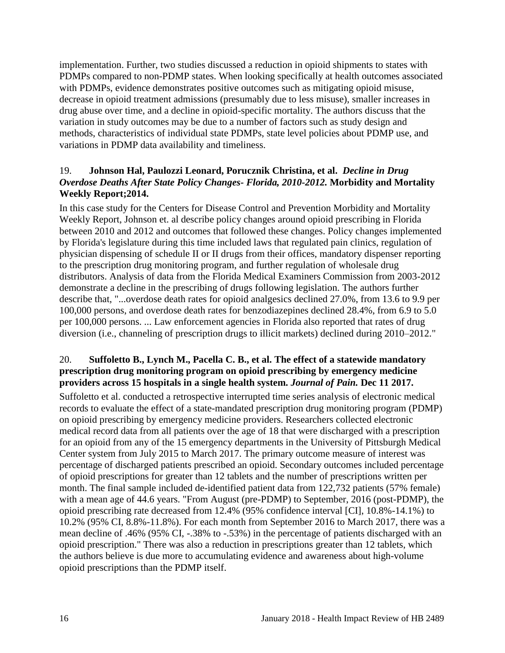implementation. Further, two studies discussed a reduction in opioid shipments to states with PDMPs compared to non-PDMP states. When looking specifically at health outcomes associated with PDMPs, evidence demonstrates positive outcomes such as mitigating opioid misuse, decrease in opioid treatment admissions (presumably due to less misuse), smaller increases in drug abuse over time, and a decline in opioid-specific mortality. The authors discuss that the variation in study outcomes may be due to a number of factors such as study design and methods, characteristics of individual state PDMPs, state level policies about PDMP use, and variations in PDMP data availability and timeliness.

#### <span id="page-17-0"></span>19. **Johnson Hal, Paulozzi Leonard, Porucznik Christina, et al.** *Decline in Drug Overdose Deaths After State Policy Changes- Florida, 2010-2012.* **Morbidity and Mortality Weekly Report;2014.**

In this case study for the Centers for Disease Control and Prevention Morbidity and Mortality Weekly Report, Johnson et. al describe policy changes around opioid prescribing in Florida between 2010 and 2012 and outcomes that followed these changes. Policy changes implemented by Florida's legislature during this time included laws that regulated pain clinics, regulation of physician dispensing of schedule II or II drugs from their offices, mandatory dispenser reporting to the prescription drug monitoring program, and further regulation of wholesale drug distributors. Analysis of data from the Florida Medical Examiners Commission from 2003-2012 demonstrate a decline in the prescribing of drugs following legislation. The authors further describe that, "...overdose death rates for opioid analgesics declined 27.0%, from 13.6 to 9.9 per 100,000 persons, and overdose death rates for benzodiazepines declined 28.4%, from 6.9 to 5.0 per 100,000 persons. ... Law enforcement agencies in Florida also reported that rates of drug diversion (i.e., channeling of prescription drugs to illicit markets) declined during 2010–2012."

#### 20. **Suffoletto B., Lynch M., Pacella C. B., et al. The effect of a statewide mandatory prescription drug monitoring program on opioid prescribing by emergency medicine providers across 15 hospitals in a single health system.** *Journal of Pain.* **Dec 11 2017.**

Suffoletto et al. conducted a retrospective interrupted time series analysis of electronic medical records to evaluate the effect of a state-mandated prescription drug monitoring program (PDMP) on opioid prescribing by emergency medicine providers. Researchers collected electronic medical record data from all patients over the age of 18 that were discharged with a prescription for an opioid from any of the 15 emergency departments in the University of Pittsburgh Medical Center system from July 2015 to March 2017. The primary outcome measure of interest was percentage of discharged patients prescribed an opioid. Secondary outcomes included percentage of opioid prescriptions for greater than 12 tablets and the number of prescriptions written per month. The final sample included de-identified patient data from 122,732 patients (57% female) with a mean age of 44.6 years. "From August (pre-PDMP) to September, 2016 (post-PDMP), the opioid prescribing rate decreased from 12.4% (95% confidence interval [CI], 10.8%-14.1%) to 10.2% (95% CI, 8.8%-11.8%). For each month from September 2016 to March 2017, there was a mean decline of .46% (95% CI, -.38% to -.53%) in the percentage of patients discharged with an opioid prescription." There was also a reduction in prescriptions greater than 12 tablets, which the authors believe is due more to accumulating evidence and awareness about high-volume opioid prescriptions than the PDMP itself.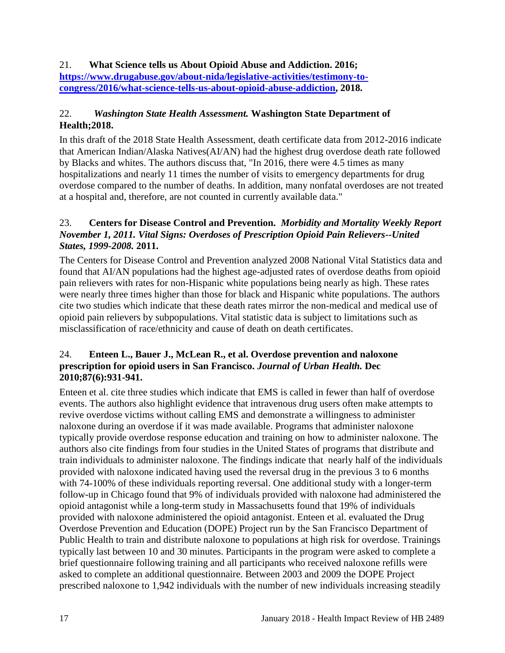#### 21. **What Science tells us About Opioid Abuse and Addiction. 2016; [https://www.drugabuse.gov/about-nida/legislative-activities/testimony-to](https://www.drugabuse.gov/about-nida/legislative-activities/testimony-to-congress/2016/what-science-tells-us-about-opioid-abuse-addiction)[congress/2016/what-science-tells-us-about-opioid-abuse-addiction,](https://www.drugabuse.gov/about-nida/legislative-activities/testimony-to-congress/2016/what-science-tells-us-about-opioid-abuse-addiction) 2018.**

#### 22.*Washington State Health Assessment.* **Washington State Department of Health;2018.**

In this draft of the 2018 State Health Assessment, death certificate data from 2012-2016 indicate that American Indian/Alaska Natives(AI/AN) had the highest drug overdose death rate followed by Blacks and whites. The authors discuss that, "In 2016, there were 4.5 times as many hospitalizations and nearly 11 times the number of visits to emergency departments for drug overdose compared to the number of deaths. In addition, many nonfatal overdoses are not treated at a hospital and, therefore, are not counted in currently available data."

#### 23. **Centers for Disease Control and Prevention.** *Morbidity and Mortality Weekly Report November 1, 2011. Vital Signs: Overdoses of Prescription Opioid Pain Relievers--United States, 1999-2008.* **2011.**

The Centers for Disease Control and Prevention analyzed 2008 National Vital Statistics data and found that AI/AN populations had the highest age-adjusted rates of overdose deaths from opioid pain relievers with rates for non-Hispanic white populations being nearly as high. These rates were nearly three times higher than those for black and Hispanic white populations. The authors cite two studies which indicate that these death rates mirror the non-medical and medical use of opioid pain relievers by subpopulations. Vital statistic data is subject to limitations such as misclassification of race/ethnicity and cause of death on death certificates.

#### 24. **Enteen L., Bauer J., McLean R., et al. Overdose prevention and naloxone prescription for opioid users in San Francisco.** *Journal of Urban Health.* **Dec 2010;87(6):931-941.**

Enteen et al. cite three studies which indicate that EMS is called in fewer than half of overdose events. The authors also highlight evidence that intravenous drug users often make attempts to revive overdose victims without calling EMS and demonstrate a willingness to administer naloxone during an overdose if it was made available. Programs that administer naloxone typically provide overdose response education and training on how to administer naloxone. The authors also cite findings from four studies in the United States of programs that distribute and train individuals to administer naloxone. The findings indicate that nearly half of the individuals provided with naloxone indicated having used the reversal drug in the previous 3 to 6 months with 74-100% of these individuals reporting reversal. One additional study with a longer-term follow-up in Chicago found that 9% of individuals provided with naloxone had administered the opioid antagonist while a long-term study in Massachusetts found that 19% of individuals provided with naloxone administered the opioid antagonist. Enteen et al. evaluated the Drug Overdose Prevention and Education (DOPE) Project run by the San Francisco Department of Public Health to train and distribute naloxone to populations at high risk for overdose. Trainings typically last between 10 and 30 minutes. Participants in the program were asked to complete a brief questionnaire following training and all participants who received naloxone refills were asked to complete an additional questionnaire. Between 2003 and 2009 the DOPE Project prescribed naloxone to 1,942 individuals with the number of new individuals increasing steadily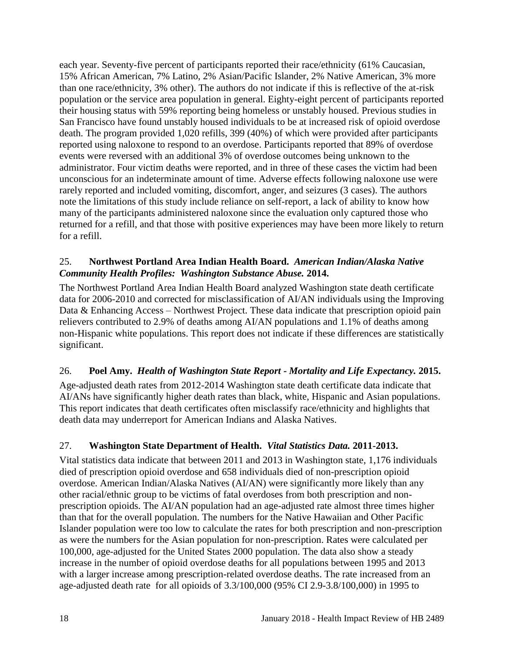each year. Seventy-five percent of participants reported their race/ethnicity (61% Caucasian, 15% African American, 7% Latino, 2% Asian/Pacific Islander, 2% Native American, 3% more than one race/ethnicity, 3% other). The authors do not indicate if this is reflective of the at-risk population or the service area population in general. Eighty-eight percent of participants reported their housing status with 59% reporting being homeless or unstably housed. Previous studies in San Francisco have found unstably housed individuals to be at increased risk of opioid overdose death. The program provided 1,020 refills, 399 (40%) of which were provided after participants reported using naloxone to respond to an overdose. Participants reported that 89% of overdose events were reversed with an additional 3% of overdose outcomes being unknown to the administrator. Four victim deaths were reported, and in three of these cases the victim had been unconscious for an indeterminate amount of time. Adverse effects following naloxone use were rarely reported and included vomiting, discomfort, anger, and seizures (3 cases). The authors note the limitations of this study include reliance on self-report, a lack of ability to know how many of the participants administered naloxone since the evaluation only captured those who returned for a refill, and that those with positive experiences may have been more likely to return for a refill.

#### 25. **Northwest Portland Area Indian Health Board.** *American Indian/Alaska Native Community Health Profiles: Washington Substance Abuse.* **2014.**

The Northwest Portland Area Indian Health Board analyzed Washington state death certificate data for 2006-2010 and corrected for misclassification of AI/AN individuals using the Improving Data & Enhancing Access – Northwest Project. These data indicate that prescription opioid pain relievers contributed to 2.9% of deaths among AI/AN populations and 1.1% of deaths among non-Hispanic white populations. This report does not indicate if these differences are statistically significant.

#### 26. **Poel Amy.** *Health of Washington State Report - Mortality and Life Expectancy.* **2015.**

Age-adjusted death rates from 2012-2014 Washington state death certificate data indicate that AI/ANs have significantly higher death rates than black, white, Hispanic and Asian populations. This report indicates that death certificates often misclassify race/ethnicity and highlights that death data may underreport for American Indians and Alaska Natives.

## 27. **Washington State Department of Health.** *Vital Statistics Data.* **2011-2013.**

Vital statistics data indicate that between 2011 and 2013 in Washington state, 1,176 individuals died of prescription opioid overdose and 658 individuals died of non-prescription opioid overdose. American Indian/Alaska Natives (AI/AN) were significantly more likely than any other racial/ethnic group to be victims of fatal overdoses from both prescription and nonprescription opioids. The AI/AN population had an age-adjusted rate almost three times higher than that for the overall population. The numbers for the Native Hawaiian and Other Pacific Islander population were too low to calculate the rates for both prescription and non-prescription as were the numbers for the Asian population for non-prescription. Rates were calculated per 100,000, age-adjusted for the United States 2000 population. The data also show a steady increase in the number of opioid overdose deaths for all populations between 1995 and 2013 with a larger increase among prescription-related overdose deaths. The rate increased from an age-adjusted death rate for all opioids of 3.3/100,000 (95% CI 2.9-3.8/100,000) in 1995 to